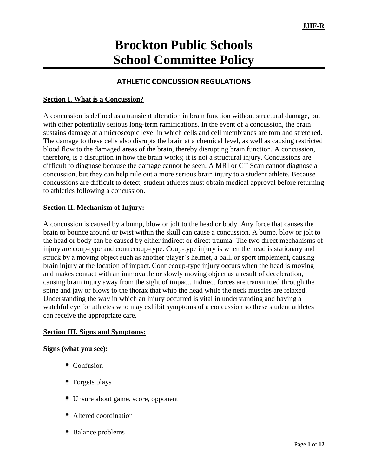# **Brockton Public Schools School Committee Policy**

## **ATHLETIC CONCUSSION REGULATIONS**

## **Section I. What is a Concussion?**

A concussion is defined as a transient alteration in brain function without structural damage, but with other potentially serious long-term ramifications. In the event of a concussion, the brain sustains damage at a microscopic level in which cells and cell membranes are torn and stretched. The damage to these cells also disrupts the brain at a chemical level, as well as causing restricted blood flow to the damaged areas of the brain, thereby disrupting brain function. A concussion, therefore, is a disruption in how the brain works; it is not a structural injury. Concussions are difficult to diagnose because the damage cannot be seen. A MRI or CT Scan cannot diagnose a concussion, but they can help rule out a more serious brain injury to a student athlete. Because concussions are difficult to detect, student athletes must obtain medical approval before returning to athletics following a concussion.

## **Section II. Mechanism of Injury:**

A concussion is caused by a bump, blow or jolt to the head or body. Any force that causes the brain to bounce around or twist within the skull can cause a concussion. A bump, blow or jolt to the head or body can be caused by either indirect or direct trauma. The two direct mechanisms of injury are coup-type and contrecoup-type. Coup-type injury is when the head is stationary and struck by a moving object such as another player's helmet, a ball, or sport implement, causing brain injury at the location of impact. Contrecoup-type injury occurs when the head is moving and makes contact with an immovable or slowly moving object as a result of deceleration, causing brain injury away from the sight of impact. Indirect forces are transmitted through the spine and jaw or blows to the thorax that whip the head while the neck muscles are relaxed. Understanding the way in which an injury occurred is vital in understanding and having a watchful eye for athletes who may exhibit symptoms of a concussion so these student athletes can receive the appropriate care.

#### **Section III. Signs and Symptoms:**

#### **Signs (what you see):**

- Confusion
- Forgets plays
- Unsure about game, score, opponent
- Altered coordination
- Balance problems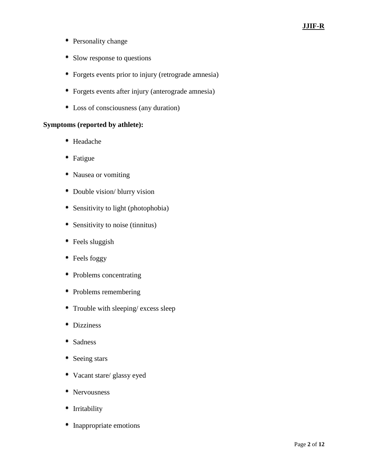## **JJIF-R**

- Personality change
- Slow response to questions
- Forgets events prior to injury (retrograde amnesia)
- Forgets events after injury (anterograde amnesia)
- Loss of consciousness (any duration)

### **Symptoms (reported by athlete):**

- Headache
- Fatigue
- Nausea or vomiting
- Double vision/ blurry vision
- Sensitivity to light (photophobia)
- Sensitivity to noise (tinnitus)
- **Feels** sluggish
- Feels foggy
- Problems concentrating
- Problems remembering
- Trouble with sleeping/ excess sleep
- Dizziness
- Sadness
- Seeing stars
- Vacant stare/ glassy eyed
- Nervousness
- Irritability
- Inappropriate emotions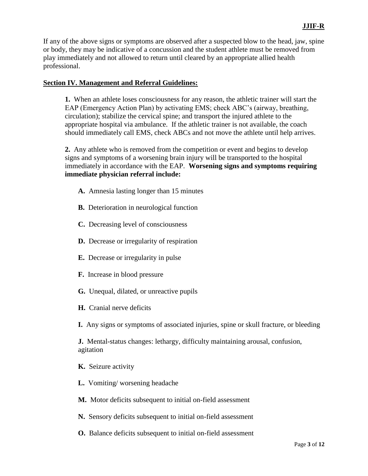If any of the above signs or symptoms are observed after a suspected blow to the head, jaw, spine or body, they may be indicative of a concussion and the student athlete must be removed from play immediately and not allowed to return until cleared by an appropriate allied health professional.

#### **Section IV. Management and Referral Guidelines:**

**1.** When an athlete loses consciousness for any reason, the athletic trainer will start the EAP (Emergency Action Plan) by activating EMS; check ABC's (airway, breathing, circulation); stabilize the cervical spine; and transport the injured athlete to the appropriate hospital via ambulance. If the athletic trainer is not available, the coach should immediately call EMS, check ABCs and not move the athlete until help arrives.

**2.** Any athlete who is removed from the competition or event and begins to develop signs and symptoms of a worsening brain injury will be transported to the hospital immediately in accordance with the EAP. **Worsening signs and symptoms requiring immediate physician referral include:**

- **A.** Amnesia lasting longer than 15 minutes
- **B.** Deterioration in neurological function
- **C.** Decreasing level of consciousness
- **D.** Decrease or irregularity of respiration
- **E.** Decrease or irregularity in pulse
- **F.** Increase in blood pressure
- **G.** Unequal, dilated, or unreactive pupils
- **H.** Cranial nerve deficits

**I.** Any signs or symptoms of associated injuries, spine or skull fracture, or bleeding

**J.** Mental-status changes: lethargy, difficulty maintaining arousal, confusion, agitation

- **K.** Seizure activity
- **L.** Vomiting/ worsening headache

**M.** Motor deficits subsequent to initial on-field assessment

- **N.** Sensory deficits subsequent to initial on-field assessment
- **O.** Balance deficits subsequent to initial on-field assessment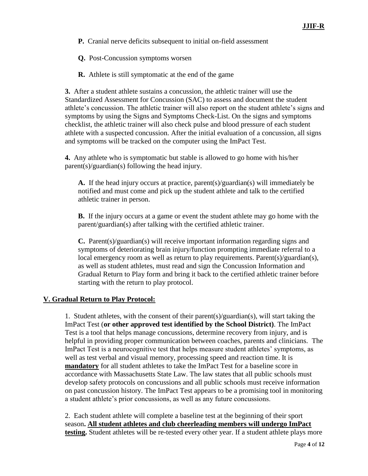- **P.** Cranial nerve deficits subsequent to initial on-field assessment
- **Q.** Post-Concussion symptoms worsen
- **R.** Athlete is still symptomatic at the end of the game

**3.** After a student athlete sustains a concussion, the athletic trainer will use the Standardized Assessment for Concussion (SAC) to assess and document the student athlete's concussion. The athletic trainer will also report on the student athlete's signs and symptoms by using the Signs and Symptoms Check-List. On the signs and symptoms checklist, the athletic trainer will also check pulse and blood pressure of each student athlete with a suspected concussion. After the initial evaluation of a concussion, all signs and symptoms will be tracked on the computer using the ImPact Test.

**4.** Any athlete who is symptomatic but stable is allowed to go home with his/her parent(s)/guardian(s) following the head injury.

**A.** If the head injury occurs at practice, parent(s)/guardian(s) will immediately be notified and must come and pick up the student athlete and talk to the certified athletic trainer in person.

**B.** If the injury occurs at a game or event the student athlete may go home with the parent/guardian(s) after talking with the certified athletic trainer.

**C.** Parent(s)/guardian(s) will receive important information regarding signs and symptoms of deteriorating brain injury/function prompting immediate referral to a local emergency room as well as return to play requirements. Parent(s)/guardian(s), as well as student athletes, must read and sign the Concussion Information and Gradual Return to Play form and bring it back to the certified athletic trainer before starting with the return to play protocol.

## **V. Gradual Return to Play Protocol:**

1. Student athletes, with the consent of their parent(s)/guardian(s), will start taking the ImPact Test (**or other approved test identified by the School District)**. The ImPact Test is a tool that helps manage concussions, determine recovery from injury, and is helpful in providing proper communication between coaches, parents and clinicians. The ImPact Test is a neurocognitive test that helps measure student athletes' symptoms, as well as test verbal and visual memory, processing speed and reaction time. It is **mandatory** for all student athletes to take the ImPact Test for a baseline score in accordance with Massachusetts State Law. The law states that all public schools must develop safety protocols on concussions and all public schools must receive information on past concussion history. The ImPact Test appears to be a promising tool in monitoring a student athlete's prior concussions, as well as any future concussions.

2. Each student athlete will complete a baseline test at the beginning of their sport season**. All student athletes and club cheerleading members will undergo ImPact testing.** Student athletes will be re-tested every other year. If a student athlete plays more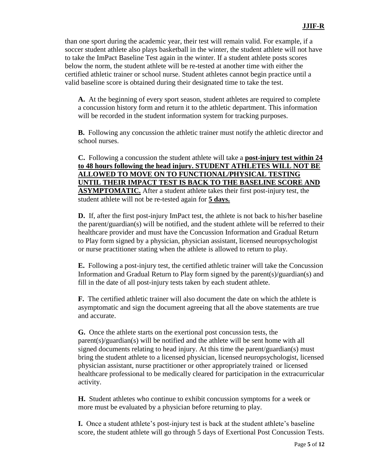than one sport during the academic year, their test will remain valid. For example, if a soccer student athlete also plays basketball in the winter, the student athlete will not have to take the ImPact Baseline Test again in the winter. If a student athlete posts scores below the norm, the student athlete will be re-tested at another time with either the certified athletic trainer or school nurse. Student athletes cannot begin practice until a valid baseline score is obtained during their designated time to take the test.

**A.** At the beginning of every sport season, student athletes are required to complete a concussion history form and return it to the athletic department. This information will be recorded in the student information system for tracking purposes.

**B.** Following any concussion the athletic trainer must notify the athletic director and school nurses.

**C.** Following a concussion the student athlete will take a **post-injury test within 24 to 48 hours following the head injury. STUDENT ATHLETES WILL NOT BE ALLOWED TO MOVE ON TO FUNCTIONAL/PHYSICAL TESTING UNTIL THEIR IMPACT TEST IS BACK TO THE BASELINE SCORE AND ASYMPTOMATIC.** After a student athlete takes their first post-injury test, the student athlete will not be re-tested again for **5 days.**

**D.** If, after the first post-injury ImPact test, the athlete is not back to his/her baseline the parent/guardian(s) will be notified, and the student athlete will be referred to their healthcare provider and must have the Concussion Information and Gradual Return to Play form signed by a physician, physician assistant, licensed neuropsychologist or nurse practitioner stating when the athlete is allowed to return to play.

**E.** Following a post-injury test, the certified athletic trainer will take the Concussion Information and Gradual Return to Play form signed by the parent(s)/guardian(s) and fill in the date of all post-injury tests taken by each student athlete.

**F.** The certified athletic trainer will also document the date on which the athlete is asymptomatic and sign the document agreeing that all the above statements are true and accurate.

**G.** Once the athlete starts on the exertional post concussion tests, the parent(s)/guardian(s) will be notified and the athlete will be sent home with all signed documents relating to head injury. At this time the parent/guardian(s) must bring the student athlete to a licensed physician, licensed neuropsychologist, licensed physician assistant, nurse practitioner or other appropriately trained or licensed healthcare professional to be medically cleared for participation in the extracurricular activity.

**H.** Student athletes who continue to exhibit concussion symptoms for a week or more must be evaluated by a physician before returning to play.

**I.** Once a student athlete's post-injury test is back at the student athlete's baseline score, the student athlete will go through 5 days of Exertional Post Concussion Tests.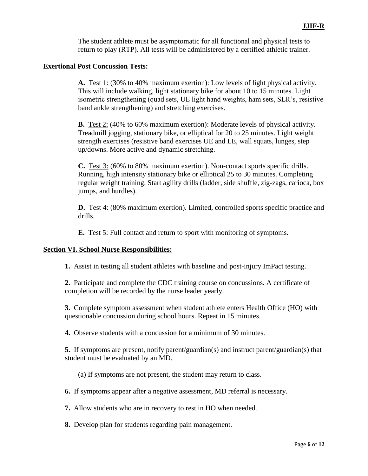The student athlete must be asymptomatic for all functional and physical tests to return to play (RTP). All tests will be administered by a certified athletic trainer.

#### **Exertional Post Concussion Tests:**

**A.** Test 1: (30% to 40% maximum exertion): Low levels of light physical activity. This will include walking, light stationary bike for about 10 to 15 minutes. Light isometric strengthening (quad sets, UE light hand weights, ham sets, SLR's, resistive band ankle strengthening) and stretching exercises.

**B.** Test 2: (40% to 60% maximum exertion): Moderate levels of physical activity. Treadmill jogging, stationary bike, or elliptical for 20 to 25 minutes. Light weight strength exercises (resistive band exercises UE and LE, wall squats, lunges, step up/downs. More active and dynamic stretching.

**C.** Test 3: (60% to 80% maximum exertion). Non-contact sports specific drills. Running, high intensity stationary bike or elliptical 25 to 30 minutes. Completing regular weight training. Start agility drills (ladder, side shuffle, zig-zags, carioca, box jumps, and hurdles).

**D.** Test 4: (80% maximum exertion). Limited, controlled sports specific practice and drills.

**E.** Test 5: Full contact and return to sport with monitoring of symptoms.

#### **Section VI. School Nurse Responsibilities:**

**1.** Assist in testing all student athletes with baseline and post-injury ImPact testing.

**2.** Participate and complete the CDC training course on concussions. A certificate of completion will be recorded by the nurse leader yearly.

**3.** Complete symptom assessment when student athlete enters Health Office (HO) with questionable concussion during school hours. Repeat in 15 minutes.

**4.** Observe students with a concussion for a minimum of 30 minutes.

**5.** If symptoms are present, notify parent/guardian(s) and instruct parent/guardian(s) that student must be evaluated by an MD.

(a) If symptoms are not present, the student may return to class.

**6.** If symptoms appear after a negative assessment, MD referral is necessary.

**7.** Allow students who are in recovery to rest in HO when needed.

**8.** Develop plan for students regarding pain management.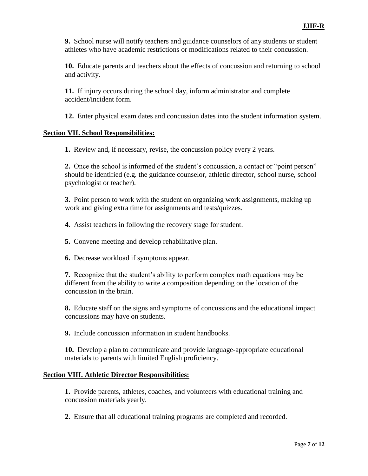**9.** School nurse will notify teachers and guidance counselors of any students or student athletes who have academic restrictions or modifications related to their concussion.

**10.** Educate parents and teachers about the effects of concussion and returning to school and activity.

**11.** If injury occurs during the school day, inform administrator and complete accident/incident form.

**12.** Enter physical exam dates and concussion dates into the student information system.

#### **Section VII. School Responsibilities:**

**1.** Review and, if necessary, revise, the concussion policy every 2 years.

**2.** Once the school is informed of the student's concussion, a contact or "point person" should be identified (e.g. the guidance counselor, athletic director, school nurse, school psychologist or teacher).

**3.** Point person to work with the student on organizing work assignments, making up work and giving extra time for assignments and tests/quizzes.

**4.** Assist teachers in following the recovery stage for student.

**5.** Convene meeting and develop rehabilitative plan.

**6.** Decrease workload if symptoms appear.

**7.** Recognize that the student's ability to perform complex math equations may be different from the ability to write a composition depending on the location of the concussion in the brain.

**8.** Educate staff on the signs and symptoms of concussions and the educational impact concussions may have on students.

**9.** Include concussion information in student handbooks.

**10.** Develop a plan to communicate and provide language-appropriate educational materials to parents with limited English proficiency.

#### **Section VIII. Athletic Director Responsibilities:**

**1.** Provide parents, athletes, coaches, and volunteers with educational training and concussion materials yearly.

**2.** Ensure that all educational training programs are completed and recorded.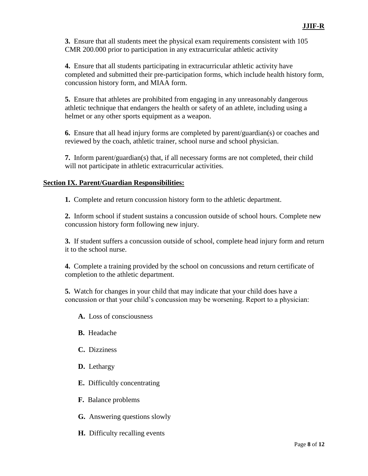**3.** Ensure that all students meet the physical exam requirements consistent with 105 CMR 200.000 prior to participation in any extracurricular athletic activity

**4.** Ensure that all students participating in extracurricular athletic activity have completed and submitted their pre-participation forms, which include health history form, concussion history form, and MIAA form.

**5.** Ensure that athletes are prohibited from engaging in any unreasonably dangerous athletic technique that endangers the health or safety of an athlete, including using a helmet or any other sports equipment as a weapon.

**6.** Ensure that all head injury forms are completed by parent/guardian(s) or coaches and reviewed by the coach, athletic trainer, school nurse and school physician.

**7.** Inform parent/guardian(s) that, if all necessary forms are not completed, their child will not participate in athletic extracurricular activities.

#### **Section IX. Parent/Guardian Responsibilities:**

**1.** Complete and return concussion history form to the athletic department.

**2.** Inform school if student sustains a concussion outside of school hours. Complete new concussion history form following new injury.

**3.** If student suffers a concussion outside of school, complete head injury form and return it to the school nurse.

**4.** Complete a training provided by the school on concussions and return certificate of completion to the athletic department.

**5.** Watch for changes in your child that may indicate that your child does have a concussion or that your child's concussion may be worsening. Report to a physician:

- **A.** Loss of consciousness
- **B.** Headache
- **C.** Dizziness
- **D.** Lethargy
- **E.** Difficultly concentrating
- **F.** Balance problems
- **G.** Answering questions slowly
- **H.** Difficulty recalling events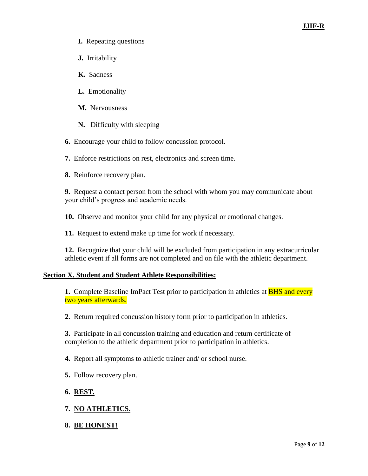## **JJIF-R**

- **I.** Repeating questions
- **J.** Irritability
- **K.** Sadness
- **L.** Emotionality
- **M.** Nervousness
- **N.** Difficulty with sleeping
- **6.** Encourage your child to follow concussion protocol.
- **7.** Enforce restrictions on rest, electronics and screen time.
- **8.** Reinforce recovery plan.

**9.** Request a contact person from the school with whom you may communicate about your child's progress and academic needs.

**10.** Observe and monitor your child for any physical or emotional changes.

**11.** Request to extend make up time for work if necessary.

**12.** Recognize that your child will be excluded from participation in any extracurricular athletic event if all forms are not completed and on file with the athletic department.

#### **Section X. Student and Student Athlete Responsibilities:**

**1.** Complete Baseline ImPact Test prior to participation in athletics at **BHS and every** two years afterwards.

**2.** Return required concussion history form prior to participation in athletics.

**3.** Participate in all concussion training and education and return certificate of completion to the athletic department prior to participation in athletics.

**4.** Report all symptoms to athletic trainer and/ or school nurse.

- **5.** Follow recovery plan.
- **6. REST.**

## **7. NO ATHLETICS.**

**8. BE HONEST!**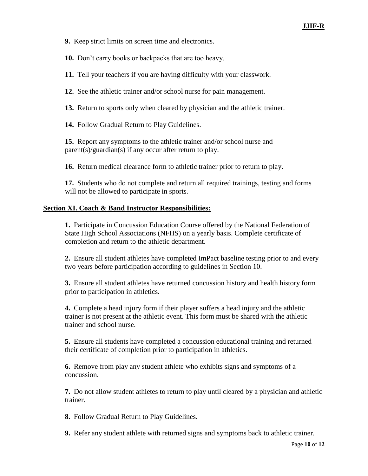**9.** Keep strict limits on screen time and electronics.

**10.** Don't carry books or backpacks that are too heavy.

**11.** Tell your teachers if you are having difficulty with your classwork.

**12.** See the athletic trainer and/or school nurse for pain management.

**13.** Return to sports only when cleared by physician and the athletic trainer.

**14.** Follow Gradual Return to Play Guidelines.

**15.** Report any symptoms to the athletic trainer and/or school nurse and parent(s)/guardian(s) if any occur after return to play.

**16.** Return medical clearance form to athletic trainer prior to return to play.

**17.** Students who do not complete and return all required trainings, testing and forms will not be allowed to participate in sports.

## **Section XI. Coach & Band Instructor Responsibilities:**

**1.** Participate in Concussion Education Course offered by the National Federation of State High School Associations (NFHS) on a yearly basis. Complete certificate of completion and return to the athletic department.

**2.** Ensure all student athletes have completed ImPact baseline testing prior to and every two years before participation according to guidelines in Section 10.

**3.** Ensure all student athletes have returned concussion history and health history form prior to participation in athletics.

**4.** Complete a head injury form if their player suffers a head injury and the athletic trainer is not present at the athletic event. This form must be shared with the athletic trainer and school nurse.

**5.** Ensure all students have completed a concussion educational training and returned their certificate of completion prior to participation in athletics.

**6.** Remove from play any student athlete who exhibits signs and symptoms of a concussion.

**7.** Do not allow student athletes to return to play until cleared by a physician and athletic trainer.

**8.** Follow Gradual Return to Play Guidelines.

**9.** Refer any student athlete with returned signs and symptoms back to athletic trainer.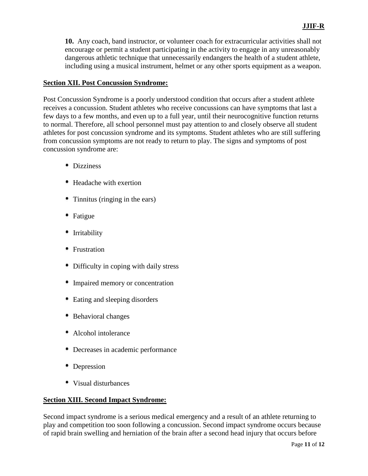**10.** Any coach, band instructor, or volunteer coach for extracurricular activities shall not encourage or permit a student participating in the activity to engage in any unreasonably dangerous athletic technique that unnecessarily endangers the health of a student athlete, including using a musical instrument, helmet or any other sports equipment as a weapon.

#### **Section XII. Post Concussion Syndrome:**

Post Concussion Syndrome is a poorly understood condition that occurs after a student athlete receives a concussion. Student athletes who receive concussions can have symptoms that last a few days to a few months, and even up to a full year, until their neurocognitive function returns to normal. Therefore, all school personnel must pay attention to and closely observe all student athletes for post concussion syndrome and its symptoms. Student athletes who are still suffering from concussion symptoms are not ready to return to play. The signs and symptoms of post concussion syndrome are:

- Dizziness
- Headache with exertion
- Tinnitus (ringing in the ears)
- Fatigue
- **·** Irritability
- Frustration
- Difficulty in coping with daily stress
- Impaired memory or concentration
- Eating and sleeping disorders
- Behavioral changes
- Alcohol intolerance
- Decreases in academic performance
- Depression
- Visual disturbances

#### **Section XIII. Second Impact Syndrome:**

Second impact syndrome is a serious medical emergency and a result of an athlete returning to play and competition too soon following a concussion. Second impact syndrome occurs because of rapid brain swelling and herniation of the brain after a second head injury that occurs before